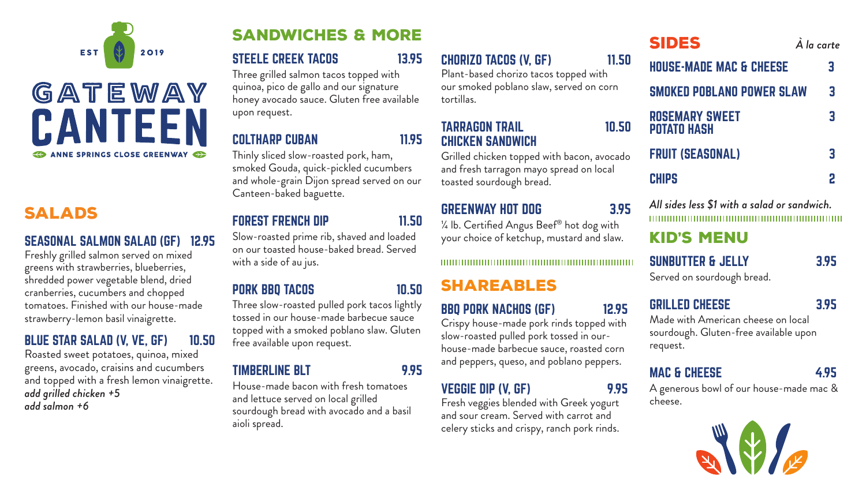# kid's menu

### SUNBUTTER & JELLY 3.95

Served on sourdough bread.

### GRILLED CHEESE 3.95

Made with American cheese on local sourdough. Gluten-free available upon request.

### MAC & CHEESE 4.95

A generous bowl of our house-made mac & cheese.















# salads

#### SEASONAL SALMON SALAD (GF) 12.95

Freshly grilled salmon served on mixed greens with strawberries, blueberries, shredded power vegetable blend, dried cranberries, cucumbers and chopped tomatoes. Finished with our house-made strawberry-lemon basil vinaigrette.

### BLUE STAR SALAD (V, VE, GF) 10.50

Roasted sweet potatoes, quinoa, mixed greens, avocado, craisins and cucumbers and topped with a fresh lemon vinaigrette. *add grilled chicken +5 add salmon +6*

# sandwiches & more

### STEELE CREEK TACOS 13.95

**ROSEMARY SWEET** POTATO HASH

FRUIT (SEASONAL)

#### **CHIPS**

Three grilled salmon tacos topped with quinoa, pico de gallo and our signature honey avocado sauce. Gluten free available upon request.

#### COLTHARP CUBAN 11.95

Thinly sliced slow-roasted pork, ham, smoked Gouda, quick-pickled cucumbers and whole-grain Dijon spread served on our Canteen-baked baguette.

### FOREST FRENCH DIP 11.50

Slow-roasted prime rib, shaved and loaded on our toasted house-baked bread. Served with a side of au jus.

#### PORK BBQ TACOS 10.50

Three slow-roasted pulled pork tacos lightly tossed in our house-made barbecue sauce topped with a smoked poblano slaw. Gluten free available upon request.

#### TIMBERLINE BLT 9.95

House-made bacon with fresh tomatoes and lettuce served on local grilled sourdough bread with avocado and a basil aioli spread.

# sides *À la carte*

HOUSE-MADE MAC & CHEESE 3

SMOKED POBLANO POWER SLAW 3

*All sides less \$1 with a salad or sandwich.* 

### CHORIZO TACOS (V, GF) 11.50

Plant-based chorizo tacos topped with our smoked poblano slaw, served on corn tortillas.

#### TARRAGON TRAIL 10.50 CHICKEN SANDWICH

Grilled chicken topped with bacon, avocado and fresh tarragon mayo spread on local toasted sourdough bread.

#### GREENWAY HOT DOG 3.95

¼ lb. Certified Angus Beef® hot dog with your choice of ketchup, mustard and slaw.

#### 

# shareables

### VEGGIE DIP (V, GF) 9.95

BBQ PORK NACHOS (GF) 12.95

Crispy house-made pork rinds topped with

slow-roasted pulled pork tossed in our-

house-made barbecue sauce, roasted corn

and peppers, queso, and poblano peppers.

Fresh veggies blended with Greek yogurt and sour cream. Served with carrot and celery sticks and crispy, ranch pork rinds.